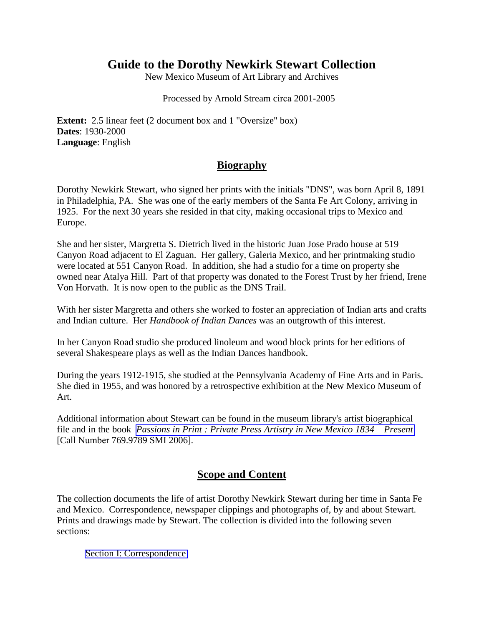# **Guide to the Dorothy Newkirk Stewart Collection**

New Mexico Museum of Art Library and Archives

Processed by Arnold Stream circa 2001-2005

**Extent:** 2.5 linear feet (2 document box and 1 "Oversize" box) **Dates**: 1930-2000 **Language**: English

### **Biography**

Dorothy Newkirk Stewart, who signed her prints with the initials "DNS", was born April 8, 1891 in Philadelphia, PA. She was one of the early members of the Santa Fe Art Colony, arriving in 1925. For the next 30 years she resided in that city, making occasional trips to Mexico and Europe.

She and her sister, Margretta S. Dietrich lived in the historic Juan Jose Prado house at 519 Canyon Road adjacent to El Zaguan. Her gallery, Galeria Mexico, and her printmaking studio were located at 551 Canyon Road. In addition, she had a studio for a time on property she owned near Atalya Hill. Part of that property was donated to the Forest Trust by her friend, Irene Von Horvath. It is now open to the public as the DNS Trail.

With her sister Margretta and others she worked to foster an appreciation of Indian arts and crafts and Indian culture. Her *Handbook of Indian Dances* was an outgrowth of this interest.

In her Canyon Road studio she produced linoleum and wood block prints for her editions of several Shakespeare plays as well as the Indian Dances handbook.

During the years 1912-1915, she studied at the Pennsylvania Academy of Fine Arts and in Paris. She died in 1955, and was honored by a retrospective exhibition at the New Mexico Museum of Art.

Additional information about Stewart can be found in the museum library's artist biographical file and in the book *[Passions in Print : Private Press Artistry in New Mexico 1834 – Present](http://salsa.polarislibrary.com/search/title.aspx?ctx=11.1033.0.0.4&pos=1)* [Call Number 769.9789 SMI 2006].

## **Scope and Content**

The collection documents the life of artist Dorothy Newkirk Stewart during her time in Santa Fe and Mexico. Correspondence, newspaper clippings and photographs of, by and about Stewart. Prints and drawings made by Stewart. The collection is divided into the following seven sections:

[Section I: Correspondence](#page-1-0)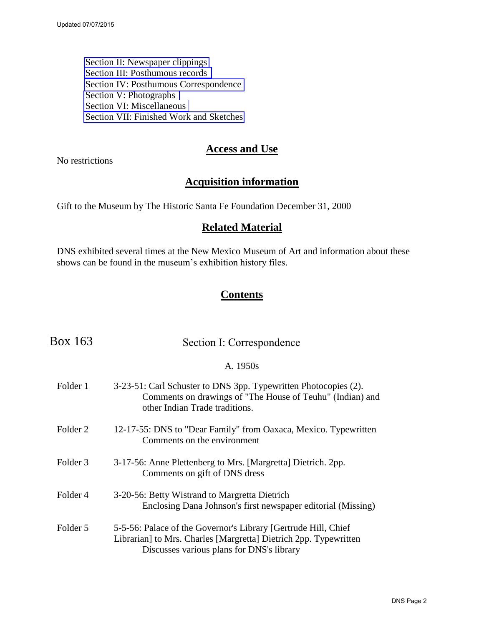<span id="page-1-0"></span>[Section II: Newspaper clippings](#page-2-0)  [Section III: Posthumous records](#page-4-0)  [Section IV: Posthumous Correspondence](#page-5-0)  [Section V: Photographs](#page-7-0)  [Section VI: Miscellaneous](#page-8-0)  [Section VII: Finished Work and Sketches](#page-9-0) 

### **Access and Use**

No restrictions

## **Acquisition information**

Gift to the Museum by The Historic Santa Fe Foundation December 31, 2000

### **Related Material**

DNS exhibited several times at the New Mexico Museum of Art and information about these shows can be found in the museum's exhibition history files.

## **Contents**

| Box 163             | Section I: Correspondence                                                                                                                                                       |
|---------------------|---------------------------------------------------------------------------------------------------------------------------------------------------------------------------------|
|                     | A. 1950s                                                                                                                                                                        |
| Folder 1            | 3-23-51: Carl Schuster to DNS 3pp. Typewritten Photocopies (2).<br>Comments on drawings of "The House of Teuhu" (Indian) and<br>other Indian Trade traditions.                  |
| Folder 2            | 12-17-55: DNS to "Dear Family" from Oaxaca, Mexico. Typewritten<br>Comments on the environment                                                                                  |
| Folder <sub>3</sub> | 3-17-56: Anne Plettenberg to Mrs. [Margretta] Dietrich. 2pp.<br>Comments on gift of DNS dress                                                                                   |
| Folder 4            | 3-20-56: Betty Wistrand to Margretta Dietrich<br>Enclosing Dana Johnson's first newspaper editorial (Missing)                                                                   |
| Folder 5            | 5-5-56: Palace of the Governor's Library [Gertrude Hill, Chief<br>Librarian] to Mrs. Charles [Margretta] Dietrich 2pp. Typewritten<br>Discusses various plans for DNS's library |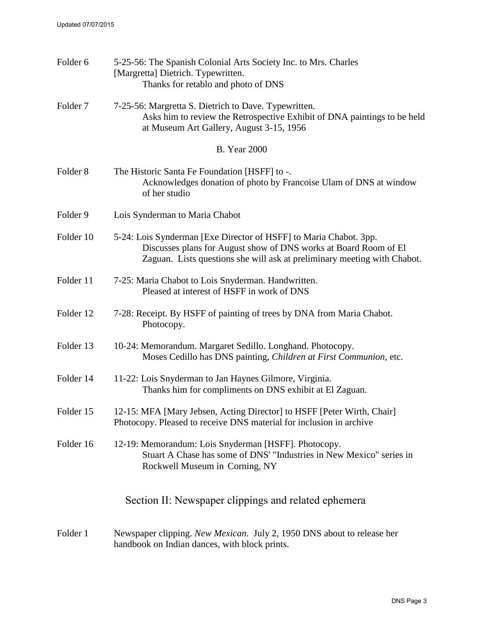<span id="page-2-0"></span>

| Folder 6            | 5-25-56: The Spanish Colonial Arts Society Inc. to Mrs. Charles<br>[Margretta] Dietrich. Typewritten.<br>Thanks for retablo and photo of DNS                                                                      |  |  |  |  |
|---------------------|-------------------------------------------------------------------------------------------------------------------------------------------------------------------------------------------------------------------|--|--|--|--|
| Folder <sub>7</sub> | 7-25-56: Margretta S. Dietrich to Dave. Typewritten.<br>Asks him to review the Retrospective Exhibit of DNA paintings to be held<br>at Museum Art Gallery, August 3-15, 1956                                      |  |  |  |  |
|                     | <b>B.</b> Year 2000                                                                                                                                                                                               |  |  |  |  |
| Folder <sub>8</sub> | The Historic Santa Fe Foundation [HSFF] to -.<br>Acknowledges donation of photo by Francoise Ulam of DNS at window<br>of her studio                                                                               |  |  |  |  |
| Folder 9            | Lois Synderman to Maria Chabot                                                                                                                                                                                    |  |  |  |  |
| Folder 10           | 5-24: Lois Synderman [Exe Director of HSFF] to Maria Chabot. 3pp.<br>Discusses plans for August show of DNS works at Board Room of El<br>Zaguan. Lists questions she will ask at preliminary meeting with Chabot. |  |  |  |  |
| Folder 11           | 7-25: Maria Chabot to Lois Snyderman. Handwritten.<br>Pleased at interest of HSFF in work of DNS                                                                                                                  |  |  |  |  |
| Folder 12           | 7-28: Receipt. By HSFF of painting of trees by DNA from Maria Chabot.<br>Photocopy.                                                                                                                               |  |  |  |  |
| Folder 13           | 10-24: Memorandum. Margaret Sedillo. Longhand. Photocopy.<br>Moses Cedillo has DNS painting, Children at First Communion, etc.                                                                                    |  |  |  |  |
| Folder 14           | 11-22: Lois Snyderman to Jan Haynes Gilmore, Virginia.<br>Thanks him for compliments on DNS exhibit at El Zaguan.                                                                                                 |  |  |  |  |
| Folder 15           | 12-15: MFA [Mary Jebsen, Acting Director] to HSFF [Peter Wirth, Chair]<br>Photocopy. Pleased to receive DNS material for inclusion in archive                                                                     |  |  |  |  |
| Folder 16           | 12-19: Memorandum: Lois Snyderman [HSFF]. Photocopy.<br>Stuart A Chase has some of DNS' "Industries in New Mexico" series in<br>Rockwell Museum in Corning, NY                                                    |  |  |  |  |
|                     | Section II: Newspaper clippings and related ephemera                                                                                                                                                              |  |  |  |  |
| Folder 1            | Newspaper clipping. New Mexican. July 2, 1950 DNS about to release her<br>handbook on Indian dances, with block prints.                                                                                           |  |  |  |  |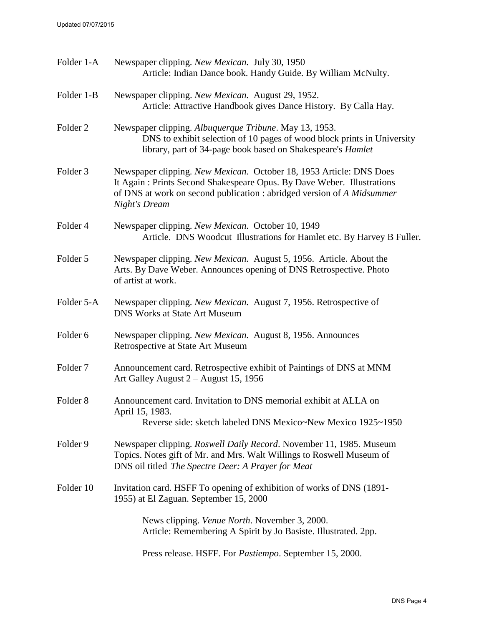| Folder 1-A          | Newspaper clipping. New Mexican. July 30, 1950<br>Article: Indian Dance book. Handy Guide. By William McNulty.                                                                                                                                  |  |  |  |
|---------------------|-------------------------------------------------------------------------------------------------------------------------------------------------------------------------------------------------------------------------------------------------|--|--|--|
| Folder 1-B          | Newspaper clipping. New Mexican. August 29, 1952.<br>Article: Attractive Handbook gives Dance History. By Calla Hay.                                                                                                                            |  |  |  |
| Folder <sub>2</sub> | Newspaper clipping. Albuquerque Tribune. May 13, 1953.<br>DNS to exhibit selection of 10 pages of wood block prints in University<br>library, part of 34-page book based on Shakespeare's Hamlet                                                |  |  |  |
| Folder 3            | Newspaper clipping. New Mexican. October 18, 1953 Article: DNS Does<br>It Again: Prints Second Shakespeare Opus. By Dave Weber. Illustrations<br>of DNS at work on second publication : abridged version of A Midsummer<br><b>Night's Dream</b> |  |  |  |
| Folder 4            | Newspaper clipping. New Mexican. October 10, 1949<br>Article. DNS Woodcut Illustrations for Hamlet etc. By Harvey B Fuller.                                                                                                                     |  |  |  |
| Folder 5            | Newspaper clipping. New Mexican. August 5, 1956. Article. About the<br>Arts. By Dave Weber. Announces opening of DNS Retrospective. Photo<br>of artist at work.                                                                                 |  |  |  |
| Folder 5-A          | Newspaper clipping. New Mexican. August 7, 1956. Retrospective of<br><b>DNS Works at State Art Museum</b>                                                                                                                                       |  |  |  |
| Folder 6            | Newspaper clipping. New Mexican. August 8, 1956. Announces<br>Retrospective at State Art Museum                                                                                                                                                 |  |  |  |
| Folder <sub>7</sub> | Announcement card. Retrospective exhibit of Paintings of DNS at MNM<br>Art Galley August 2 - August 15, 1956                                                                                                                                    |  |  |  |
| Folder <sub>8</sub> | Announcement card. Invitation to DNS memorial exhibit at ALLA on<br>April 15, 1983.<br>Reverse side: sketch labeled DNS Mexico~New Mexico 1925~1950                                                                                             |  |  |  |
| Folder 9            | Newspaper clipping. Roswell Daily Record. November 11, 1985. Museum<br>Topics. Notes gift of Mr. and Mrs. Walt Willings to Roswell Museum of<br>DNS oil titled The Spectre Deer: A Prayer for Meat                                              |  |  |  |
| Folder 10           | Invitation card. HSFF To opening of exhibition of works of DNS (1891-<br>1955) at El Zaguan. September 15, 2000                                                                                                                                 |  |  |  |
|                     | News clipping. <i>Venue North</i> . November 3, 2000.<br>Article: Remembering A Spirit by Jo Basiste. Illustrated. 2pp.                                                                                                                         |  |  |  |
|                     |                                                                                                                                                                                                                                                 |  |  |  |

Press release. HSFF. For *Pastiempo*. September 15, 2000.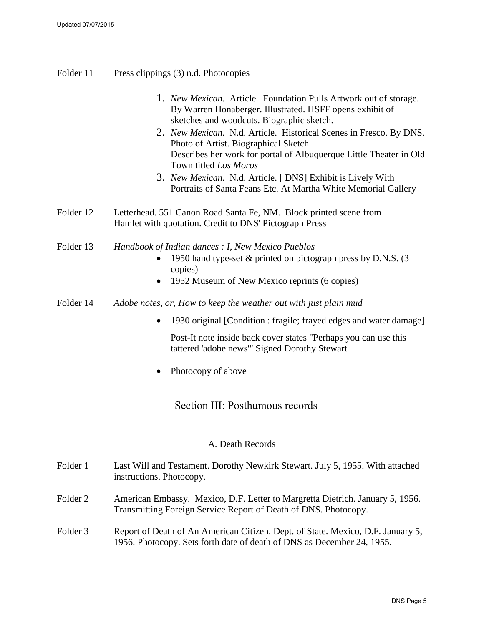- <span id="page-4-0"></span>Folder 11 Press clippings (3) n.d. Photocopies
	- 1. *New Mexican.* Article. Foundation Pulls Artwork out of storage. By Warren Honaberger. Illustrated. HSFF opens exhibit of sketches and woodcuts. Biographic sketch.
	- 2. *New Mexican.* N.d. Article. Historical Scenes in Fresco. By DNS. Photo of Artist. Biographical Sketch. Describes her work for portal of Albuquerque Little Theater in Old Town titled *Los Moros*
	- 3. *New Mexican.* N.d. Article. [ DNS] Exhibit is Lively With Portraits of Santa Feans Etc. At Martha White Memorial Gallery
- Folder 12 Letterhead. 551 Canon Road Santa Fe, NM. Block printed scene from Hamlet with quotation. Credit to DNS' Pictograph Press
- Folder 13 *Handbook of Indian dances : I, New Mexico Pueblos*  1950 hand type-set & printed on pictograph press by D.N.S. (3 copies)
	- 1952 Museum of New Mexico reprints (6 copies)
- Folder 14 *Adobe notes, or, How to keep the weather out with just plain mud*
	- 1930 original [Condition : fragile; frayed edges and water damage]

Post-It note inside back cover states "Perhaps you can use this tattered 'adobe news'" Signed Dorothy Stewart

• Photocopy of above

Section III: Posthumous records

### A. Death Records

| Folder 1 | Last Will and Testament. Dorothy Newkirk Stewart. July 5, 1955. With attached<br>instructions. Photocopy.                                        |
|----------|--------------------------------------------------------------------------------------------------------------------------------------------------|
| Folder 2 | American Embassy. Mexico, D.F. Letter to Margretta Dietrich. January 5, 1956.<br>Transmitting Foreign Service Report of Death of DNS. Photocopy. |

### Folder 3 Report of Death of An American Citizen. Dept. of State. Mexico, D.F. January 5, 1956. Photocopy. Sets forth date of death of DNS as December 24, 1955.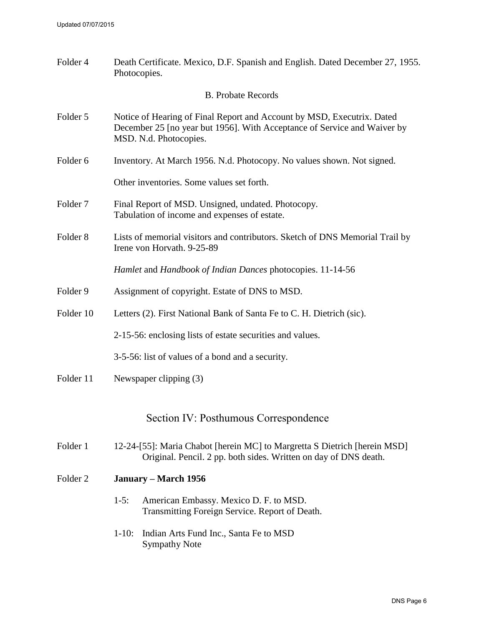<span id="page-5-0"></span>

| Folder 4            | Death Certificate. Mexico, D.F. Spanish and English. Dated December 27, 1955.<br>Photocopies.                                                                                |  |  |
|---------------------|------------------------------------------------------------------------------------------------------------------------------------------------------------------------------|--|--|
|                     | <b>B.</b> Probate Records                                                                                                                                                    |  |  |
| Folder 5            | Notice of Hearing of Final Report and Account by MSD, Executrix. Dated<br>December 25 [no year but 1956]. With Acceptance of Service and Waiver by<br>MSD. N.d. Photocopies. |  |  |
| Folder <sub>6</sub> | Inventory. At March 1956. N.d. Photocopy. No values shown. Not signed.                                                                                                       |  |  |
|                     | Other inventories. Some values set forth.                                                                                                                                    |  |  |
| Folder <sub>7</sub> | Final Report of MSD. Unsigned, undated. Photocopy.<br>Tabulation of income and expenses of estate.                                                                           |  |  |
| Folder <sub>8</sub> | Lists of memorial visitors and contributors. Sketch of DNS Memorial Trail by<br>Irene von Horvath. 9-25-89                                                                   |  |  |
|                     | Hamlet and Handbook of Indian Dances photocopies. 11-14-56                                                                                                                   |  |  |
| Folder 9            | Assignment of copyright. Estate of DNS to MSD.                                                                                                                               |  |  |
| Folder 10           | Letters (2). First National Bank of Santa Fe to C. H. Dietrich (sic).                                                                                                        |  |  |
|                     | 2-15-56: enclosing lists of estate securities and values.                                                                                                                    |  |  |
|                     | 3-5-56: list of values of a bond and a security.                                                                                                                             |  |  |
| Folder 11           | Newspaper clipping (3)                                                                                                                                                       |  |  |
|                     | Section IV: Posthumous Correspondence                                                                                                                                        |  |  |
| Folder 1            | 12-24-[55]: Maria Chabot [herein MC] to Margretta S Dietrich [herein MSD]<br>Original. Pencil. 2 pp. both sides. Written on day of DNS death.                                |  |  |
| Folder <sub>2</sub> | January – March 1956                                                                                                                                                         |  |  |
|                     | $1-5:$<br>American Embassy. Mexico D. F. to MSD.<br>Transmitting Foreign Service. Report of Death.                                                                           |  |  |
|                     | $1-10:$<br>Indian Arts Fund Inc., Santa Fe to MSD<br><b>Sympathy Note</b>                                                                                                    |  |  |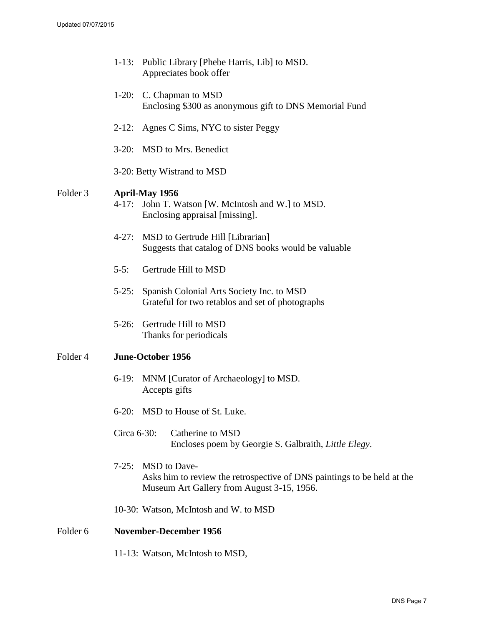|          | $1-13:$        | Public Library [Phebe Harris, Lib] to MSD.<br>Appreciates book offer                                                                  |
|----------|----------------|---------------------------------------------------------------------------------------------------------------------------------------|
|          |                | 1-20: C. Chapman to MSD<br>Enclosing \$300 as anonymous gift to DNS Memorial Fund                                                     |
|          |                | 2-12: Agnes C Sims, NYC to sister Peggy                                                                                               |
|          |                | 3-20: MSD to Mrs. Benedict                                                                                                            |
|          |                | 3-20: Betty Wistrand to MSD                                                                                                           |
| Folder 3 | $4 - 17:$      | <b>April-May 1956</b><br>John T. Watson [W. McIntosh and W.] to MSD.<br>Enclosing appraisal [missing].                                |
|          |                | 4-27: MSD to Gertrude Hill [Librarian]<br>Suggests that catalog of DNS books would be valuable                                        |
|          | $5-5:$         | Gertrude Hill to MSD                                                                                                                  |
|          | $5-25:$        | Spanish Colonial Arts Society Inc. to MSD<br>Grateful for two retablos and set of photographs                                         |
|          |                | 5-26: Gertrude Hill to MSD<br>Thanks for periodicals                                                                                  |
| Folder 4 |                | <b>June-October 1956</b>                                                                                                              |
|          |                | 6-19: MNM [Curator of Archaeology] to MSD.<br>Accepts gifts                                                                           |
|          |                | 6-20: MSD to House of St. Luke.                                                                                                       |
|          | Circa $6-30$ : | Catherine to MSD<br>Encloses poem by Georgie S. Galbraith, Little Elegy.                                                              |
|          | $7 - 25:$      | MSD to Dave-<br>Asks him to review the retrospective of DNS paintings to be held at the<br>Museum Art Gallery from August 3-15, 1956. |
|          |                | 10-30: Watson, McIntosh and W. to MSD                                                                                                 |
| Folder 6 |                | <b>November-December 1956</b>                                                                                                         |
|          |                | 11-13: Watson, McIntosh to MSD,                                                                                                       |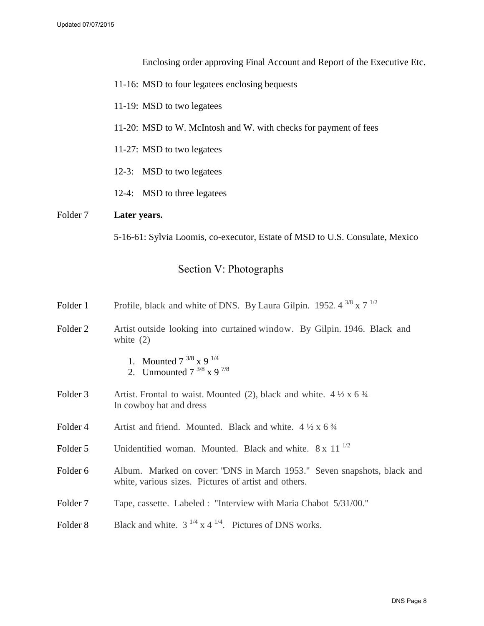Enclosing order approving Final Account and Report of the Executive Etc.

- <span id="page-7-0"></span>11-16: MSD to four legatees enclosing bequests
- 11-19: MSD to two legatees
- 11-20: MSD to W. McIntosh and W. with checks for payment of fees
- 11-27: MSD to two legatees
- 12-3: MSD to two legatees
- 12-4: MSD to three legatees

### Folder 7 **Later years.**

5-16-61: Sylvia Loomis, co-executor, Estate of MSD to U.S. Consulate, Mexico

### Section V: Photographs

| Folder 1            | Profile, black and white of DNS. By Laura Gilpin. 1952. $4^{3/8}$ x 7 <sup>1/2</sup>                                            |  |
|---------------------|---------------------------------------------------------------------------------------------------------------------------------|--|
| Folder 2            | Artist outside looking into curtained window. By Gilpin. 1946. Black and<br>white $(2)$                                         |  |
|                     | 1. Mounted $7^{3/8}$ x 9 $^{1/4}$<br>2. Unmounted $7^{3/8}$ x 9 $^{7/8}$                                                        |  |
| Folder 3            | Artist. Frontal to waist. Mounted (2), black and white. $4\frac{1}{2} \times 6\frac{3}{4}$<br>In cowboy hat and dress           |  |
| Folder 4            | Artist and friend. Mounted. Black and white. $4\frac{1}{2} \times 6\frac{3}{4}$                                                 |  |
| Folder 5            | Unidentified woman. Mounted. Black and white. $8 \times 11^{-1/2}$                                                              |  |
| Folder 6            | Album. Marked on cover: "DNS in March 1953." Seven snapshots, black and<br>white, various sizes. Pictures of artist and others. |  |
| Folder <sub>7</sub> | Tape, cassette. Labeled: "Interview with Maria Chabot 5/31/00."                                                                 |  |
| Folder <sub>8</sub> | Black and white. $3^{1/4}$ x 4 $^{1/4}$ . Pictures of DNS works.                                                                |  |
|                     |                                                                                                                                 |  |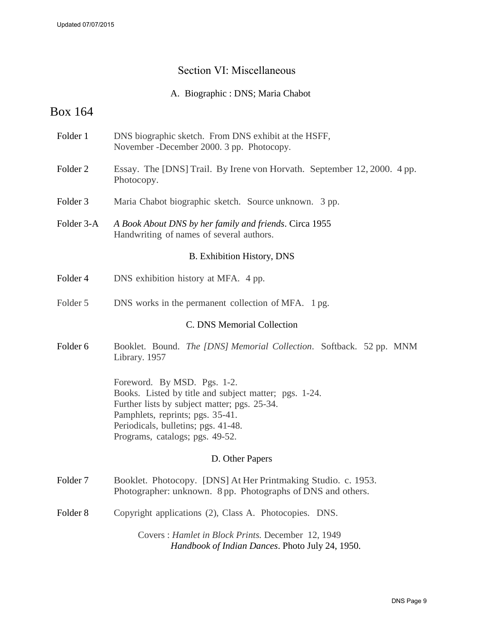### Section VI: Miscellaneous

A. Biographic : DNS; Maria Chabot

# <span id="page-8-0"></span>Box 164

- Folder 1 DNS biographic sketch. From DNS exhibit at the HSFF, November -December 2000. 3 pp. Photocopy.
- Folder 2 Essay. The [DNS] Trail. By Irene von Horvath. September 12, 2000. 4 pp. Photocopy.
- Folder 3 Maria Chabot biographic sketch. Source unknown. 3 pp.
- Folder 3-A *A Book About DNS by her family and friends*. Circa 1955 Handwriting of names of several authors.

### B. Exhibition History, DNS

- Folder 4 DNS exhibition history at MFA. 4 pp.
- Folder 5 DNS works in the permanent collection of MFA. 1 pg.

### C. DNS Memorial Collection

Folder 6 Booklet. Bound. *The [DNS] Memorial Collection*. Softback. 52 pp. MNM Library. 1957

> Foreword. By MSD. Pgs. 1-2. Books. Listed by title and subject matter; pgs. 1-24. Further lists by subject matter; pgs. 25-34. Pamphlets, reprints; pgs. 35-41. Periodicals, bulletins; pgs. 41-48. Programs, catalogs; pgs. 49-52.

### D. Other Papers

- Folder 7 Booklet. Photocopy. [DNS] At Her Printmaking Studio. c. 1953. Photographer: unknown. 8 pp. Photographs of DNS and others.
- Folder 8 Copyright applications (2), Class A. Photocopies. DNS.

Covers : *Hamlet in Block Prints.* December 12, 1949 *Handbook of Indian Dances*. Photo July 24, 1950.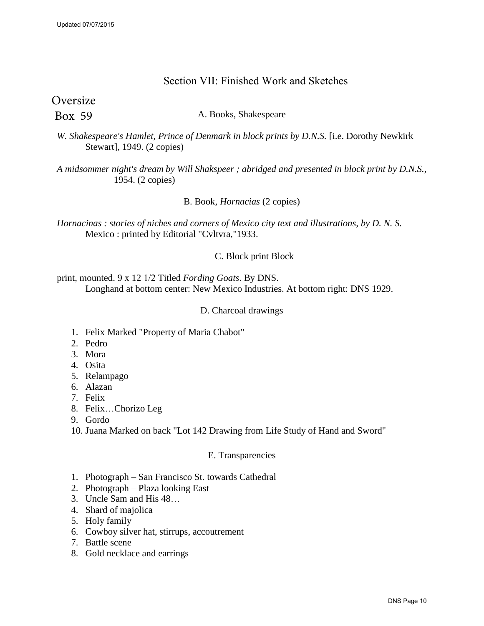### Section VII: Finished Work and Sketches

<span id="page-9-0"></span>**Oversize** 

Box 59

A. Books, Shakespeare

*W. Shakespeare's Hamlet, Prince of Denmark in block prints by D.N.S.* [i.e. Dorothy Newkirk Stewart], 1949. (2 copies)

*A midsommer night's dream by Will Shakspeer ; abridged and presented in block print by D.N.S.,* 1954. (2 copies)

B. Book, *Hornacias* (2 copies)

*Hornacinas : stories of niches and corners of Mexico city text and illustrations, by D. N. S.* Mexico : printed by Editorial "Cvltvra,"1933.

### C. Block print Block

print, mounted. 9 x 12 1/2 Titled *Fording Goats*. By DNS. Longhand at bottom center: New Mexico Industries. At bottom right: DNS 1929.

#### D. Charcoal drawings

- 1. Felix Marked "Property of Maria Chabot"
- 2. Pedro
- 3. Mora
- 4. Osita
- 5. Relampago
- 6. Alazan
- 7. Felix
- 8. Felix…Chorizo Leg
- 9. Gordo

10. Juana Marked on back "Lot 142 Drawing from Life Study of Hand and Sword"

#### E. Transparencies

- 1. Photograph San Francisco St. towards Cathedral
- 2. Photograph Plaza looking East
- 3. Uncle Sam and His 48…
- 4. Shard of majolica
- 5. Holy family
- 6. Cowboy silver hat, stirrups, accoutrement
- 7. Battle scene
- 8. Gold necklace and earrings